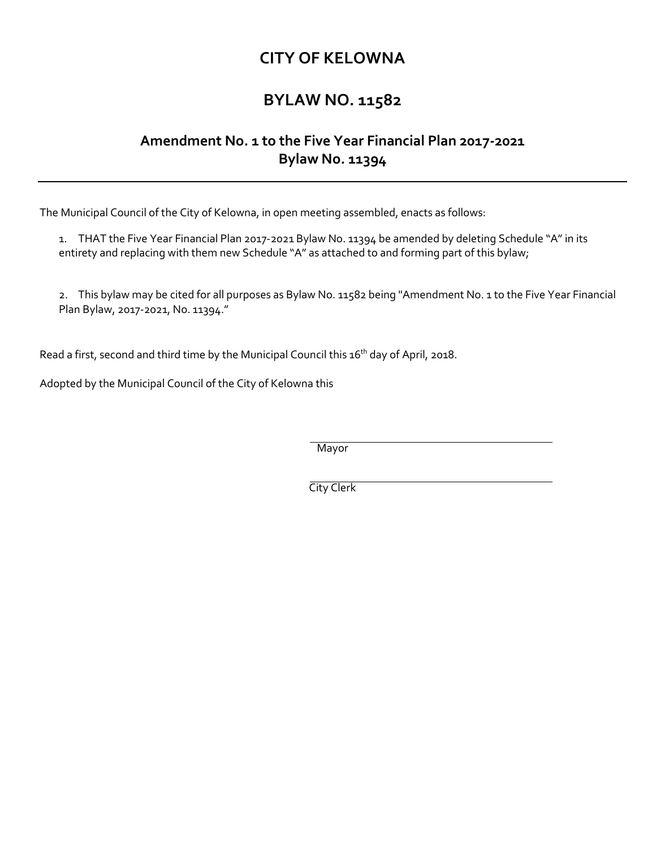## **CITY OF KELOWNA**

## **BYLAW NO. 11582**

## **Amendment No. 1 to the Five Year Financial Plan 2017-2021 Bylaw No. 11394**

The Municipal Council of the City of Kelowna, in open meeting assembled, enacts as follows:

1. THAT the Five Year Financial Plan 2017-2021 Bylaw No. 11394 be amended by deleting Schedule "A" in its entirety and replacing with them new Schedule "A" as attached to and forming part of this bylaw;

2. This bylaw may be cited for all purposes as Bylaw No. 11582 being "Amendment No. 1 to the Five Year Financial Plan Bylaw, 2017-2021, No. 11394."

Read a first, second and third time by the Municipal Council this 16<sup>th</sup> day of April, 2018.

Adopted by the Municipal Council of the City of Kelowna this

Mayor

City Clerk